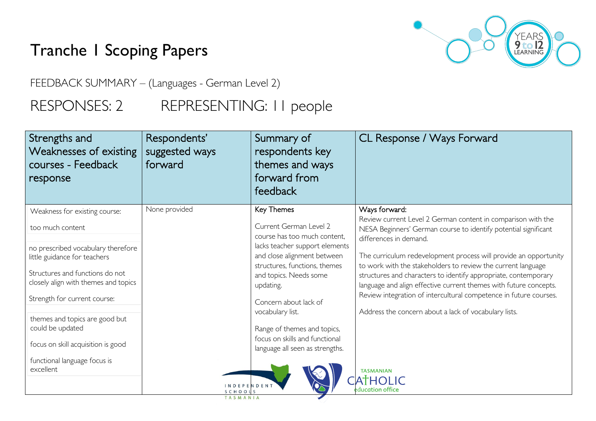# Tranche 1 Scoping Papers



FEEDBACK SUMMARY – (Languages - German Level 2)

## RESPONSES: 2 REPRESENTING: I I people

| Strengths and<br><b>Weaknesses of existing</b><br>courses - Feedback<br>response                                                                                                                                                                                                                                                                                            | Respondents'<br>suggested ways<br>forward | Summary of<br>respondents key<br>themes and ways<br>forward from<br>feedback                                                                                                                                                                                                                                                                                   | CL Response / Ways Forward                                                                                                                                                                                                                                                                                                                                                                                                                                                                                                                                                                                                                     |
|-----------------------------------------------------------------------------------------------------------------------------------------------------------------------------------------------------------------------------------------------------------------------------------------------------------------------------------------------------------------------------|-------------------------------------------|----------------------------------------------------------------------------------------------------------------------------------------------------------------------------------------------------------------------------------------------------------------------------------------------------------------------------------------------------------------|------------------------------------------------------------------------------------------------------------------------------------------------------------------------------------------------------------------------------------------------------------------------------------------------------------------------------------------------------------------------------------------------------------------------------------------------------------------------------------------------------------------------------------------------------------------------------------------------------------------------------------------------|
| Weakness for existing course:<br>too much content<br>no prescribed vocabulary therefore<br>little guidance for teachers<br>Structures and functions do not<br>closely align with themes and topics<br>Strength for current course:<br>themes and topics are good but<br>could be updated<br>focus on skill acquisition is good<br>functional language focus is<br>excellent | None provided<br><b>INDEPENDENT</b>       | Key Themes<br>Current German Level 2<br>course has too much content.<br>lacks teacher support elements<br>and close alignment between<br>structures, functions, themes<br>and topics. Needs some<br>updating.<br>Concern about lack of<br>vocabulary list.<br>Range of themes and topics,<br>focus on skills and functional<br>language all seen as strengths. | Ways forward:<br>Review current Level 2 German content in comparison with the<br>NESA Beginners' German course to identify potential significant<br>differences in demand.<br>The curriculum redevelopment process will provide an opportunity<br>to work with the stakeholders to review the current language<br>structures and characters to identify appropriate, contemporary<br>language and align effective current themes with future concepts.<br>Review integration of intercultural competence in future courses.<br>Address the concern about a lack of vocabulary lists.<br><b>TASMANIAN</b><br><b>ATHOLIC</b><br>education office |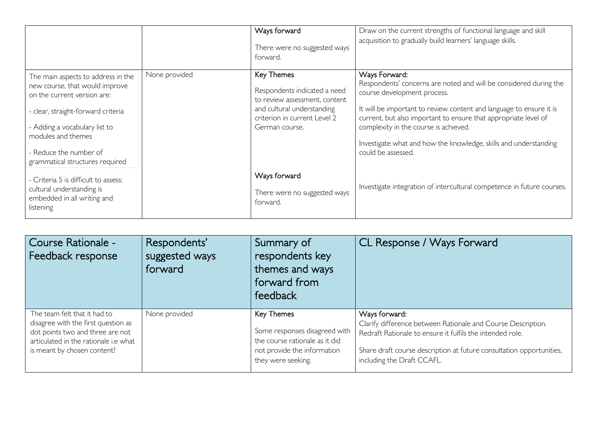|                                                                                                                                                                                                  |               | Ways forward<br>There were no suggested ways<br>forward.                                                                                                           | Draw on the current strengths of functional language and skill<br>acquisition to gradually build learners' language skills.                                                                                                                                                                          |
|--------------------------------------------------------------------------------------------------------------------------------------------------------------------------------------------------|---------------|--------------------------------------------------------------------------------------------------------------------------------------------------------------------|------------------------------------------------------------------------------------------------------------------------------------------------------------------------------------------------------------------------------------------------------------------------------------------------------|
| The main aspects to address in the<br>new course, that would improve<br>on the current version are:<br>- clear, straight-forward criteria<br>- Adding a vocabulary list to<br>modules and themes | None provided | <b>Key Themes</b><br>Respondents indicated a need<br>to review assessment, content<br>and cultural understanding<br>criterion in current Level 2<br>German course. | Ways Forward:<br>Respondents' concerns are noted and will be considered during the<br>course development process.<br>It will be important to review content and language to ensure it is<br>current, but also important to ensure that appropriate level of<br>complexity in the course is achieved. |
| - Reduce the number of<br>grammatical structures required                                                                                                                                        |               |                                                                                                                                                                    | Investigate what and how the knowledge, skills and understanding<br>could be assessed.                                                                                                                                                                                                               |
| - Criteria 5 is difficult to assess:<br>cultural understanding is<br>embedded in all writing and<br>listening                                                                                    |               | Ways forward<br>There were no suggested ways<br>forward.                                                                                                           | Investigate integration of intercultural competence in future courses.                                                                                                                                                                                                                               |

| Course Rationale -<br>Feedback response | Respondents'<br>suggested ways<br>forward | Summary of<br>respondents key<br>themes and ways<br>forward from<br>feedback | CL Response / Ways Forward                                           |
|-----------------------------------------|-------------------------------------------|------------------------------------------------------------------------------|----------------------------------------------------------------------|
| The team felt that it had to            | None provided                             | Key Themes                                                                   | Ways forward:                                                        |
| disagree with the first question as     |                                           | Some responses disagreed with                                                | Clarify difference between Rationale and Course Description.         |
| dot points two and three are not        |                                           | the course rationale as it did                                               | Redraft Rationale to ensure it fulfils the intended role.            |
| articulated in the rationale i.e what   |                                           | not provide the information                                                  | Share draft course description at future consultation opportunities, |
| is meant by chosen content?             |                                           | they were seeking.                                                           | including the Draft CCAFL.                                           |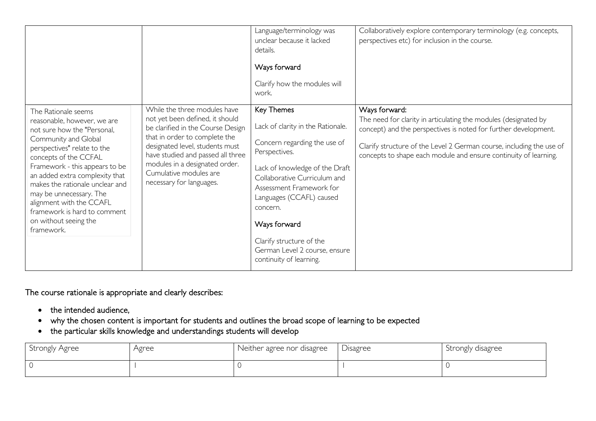|                                                                                                                                                                                                                                                                                                                                                                                                        |                                                                                                                                                                                                                                                                                                       | Language/terminology was<br>unclear because it lacked<br>details.<br>Ways forward<br>Clarify how the modules will<br>work.                                                                                                                                                                                                                     | Collaboratively explore contemporary terminology (e.g. concepts,<br>perspectives etc) for inclusion in the course.                                                                                                                                                                              |
|--------------------------------------------------------------------------------------------------------------------------------------------------------------------------------------------------------------------------------------------------------------------------------------------------------------------------------------------------------------------------------------------------------|-------------------------------------------------------------------------------------------------------------------------------------------------------------------------------------------------------------------------------------------------------------------------------------------------------|------------------------------------------------------------------------------------------------------------------------------------------------------------------------------------------------------------------------------------------------------------------------------------------------------------------------------------------------|-------------------------------------------------------------------------------------------------------------------------------------------------------------------------------------------------------------------------------------------------------------------------------------------------|
| The Rationale seems<br>reasonable, however, we are<br>not sure how the "Personal,<br>Community and Global<br>perspectives" relate to the<br>concepts of the CCFAL<br>Framework - this appears to be<br>an added extra complexity that<br>makes the rationale unclear and<br>may be unnecessary. The<br>alignment with the CCAFL<br>framework is hard to comment<br>on without seeing the<br>framework. | While the three modules have<br>not yet been defined, it should<br>be clarified in the Course Design<br>that in order to complete the<br>designated level, students must<br>have studied and passed all three<br>modules in a designated order.<br>Cumulative modules are<br>necessary for languages. | Key Themes<br>Lack of clarity in the Rationale.<br>Concern regarding the use of<br>Perspectives.<br>Lack of knowledge of the Draft<br>Collaborative Curriculum and<br>Assessment Framework for<br>Languages (CCAFL) caused<br>concern.<br>Ways forward<br>Clarify structure of the<br>German Level 2 course, ensure<br>continuity of learning. | Ways forward:<br>The need for clarity in articulating the modules (designated by<br>concept) and the perspectives is noted for further development.<br>Clarify structure of the Level 2 German course, including the use of<br>concepts to shape each module and ensure continuity of learning. |

The course rationale is appropriate and clearly describes:

- the intended audience,
- why the chosen content is important for students and outlines the broad scope of learning to be expected
- the particular skills knowledge and understandings students will develop

| Strongly Agree | Agree | Neither agree nor disagree | • Disagree | Strongly disagree |
|----------------|-------|----------------------------|------------|-------------------|
|                |       |                            |            |                   |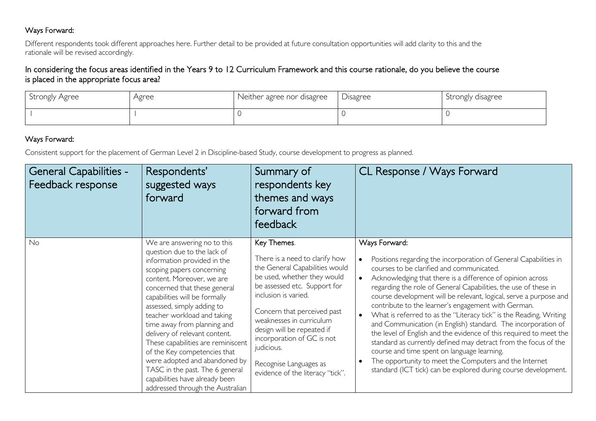#### Ways Forward:

Different respondents took different approaches here. Further detail to be provided at future consultation opportunities will add clarity to this and the rationale will be revised accordingly.

#### In considering the focus areas identified in the Years 9 to 12 Curriculum Framework and this course rationale, do you believe the course is placed in the appropriate focus area?

| Strongly Agree | Agree | Neither agree nor disagree | $\vert$ Disagree | Strongly disagree |
|----------------|-------|----------------------------|------------------|-------------------|
|                |       |                            |                  |                   |

### Ways Forward:

Consistent support for the placement of German Level 2 in Discipline-based Study, course development to progress as planned.

| <b>General Capabilities -</b><br>Feedback response | Respondents'<br>suggested ways<br>forward                                                                                                                                                                                                                                                                                                                                                                                                                                                                                                                         | Summary of<br>respondents key<br>themes and ways<br>forward from<br>feedback                                                                                                                                                                                                                                                                                              | CL Response / Ways Forward                                                                                                                                                                                                                                                                                                                                                                                                                                                                                                                                                                                                                                                                                                                                                                                                                             |
|----------------------------------------------------|-------------------------------------------------------------------------------------------------------------------------------------------------------------------------------------------------------------------------------------------------------------------------------------------------------------------------------------------------------------------------------------------------------------------------------------------------------------------------------------------------------------------------------------------------------------------|---------------------------------------------------------------------------------------------------------------------------------------------------------------------------------------------------------------------------------------------------------------------------------------------------------------------------------------------------------------------------|--------------------------------------------------------------------------------------------------------------------------------------------------------------------------------------------------------------------------------------------------------------------------------------------------------------------------------------------------------------------------------------------------------------------------------------------------------------------------------------------------------------------------------------------------------------------------------------------------------------------------------------------------------------------------------------------------------------------------------------------------------------------------------------------------------------------------------------------------------|
| No                                                 | We are answering no to this<br>question due to the lack of<br>information provided in the<br>scoping papers concerning<br>content. Moreover, we are<br>concerned that these general<br>capabilities will be formally<br>assessed, simply adding to<br>teacher workload and taking<br>time away from planning and<br>delivery of relevant content.<br>These capabilities are reminiscent<br>of the Key competencies that<br>were adopted and abandoned by<br>TASC in the past. The 6 general<br>capabilities have already been<br>addressed through the Australian | Key Themes.<br>There is a need to clarify how<br>the General Capabilities would<br>be used, whether they would<br>be assessed etc. Support for<br>inclusion is varied.<br>Concern that perceived past<br>weaknesses in curriculum<br>design will be repeated if<br>incorporation of GC is not<br>judicious.<br>Recognise Languages as<br>evidence of the literacy "tick". | Ways Forward:<br>Positions regarding the incorporation of General Capabilities in<br>courses to be clarified and communicated.<br>Acknowledging that there is a difference of opinion across<br>regarding the role of General Capabilities, the use of these in<br>course development will be relevant, logical, serve a purpose and<br>contribute to the learner's engagement with German.<br>What is referred to as the "Literacy tick" is the Reading, Writing<br>and Communication (in English) standard. The incorporation of<br>the level of English and the evidence of this required to meet the<br>standard as currently defined may detract from the focus of the<br>course and time spent on language learning.<br>The opportunity to meet the Computers and the Internet<br>standard (ICT tick) can be explored during course development. |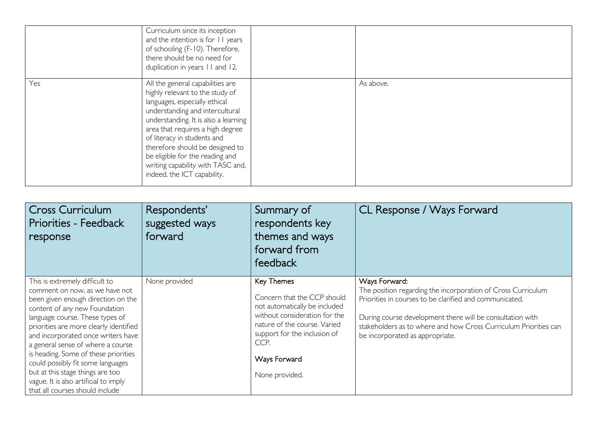|     | Curriculum since its inception<br>and the intention is for 11 years<br>of schooling (F-10). Therefore,<br>there should be no need for<br>duplication in years 11 and 12.                                                                                                                                                                                                                     |           |
|-----|----------------------------------------------------------------------------------------------------------------------------------------------------------------------------------------------------------------------------------------------------------------------------------------------------------------------------------------------------------------------------------------------|-----------|
| Yes | All the general capabilities are<br>highly relevant to the study of<br>languages, especially ethical<br>understanding and intercultural<br>understanding. It is also a learning<br>area that requires a high degree<br>of literacy in students and<br>therefore should be designed to<br>be eligible for the reading and<br>writing capability with TASC and,<br>indeed, the ICT capability. | As above. |

| <b>Cross Curriculum</b><br>Priorities - Feedback<br>response                                                                                                                                                                                                                                                                                                                                                                                                                                 | Respondents'<br>suggested ways<br>forward | Summary of<br>respondents key<br>themes and ways<br>forward from<br>feedback                                                                                                                                          | CL Response / Ways Forward                                                                                                                                                                                                                                                                                   |
|----------------------------------------------------------------------------------------------------------------------------------------------------------------------------------------------------------------------------------------------------------------------------------------------------------------------------------------------------------------------------------------------------------------------------------------------------------------------------------------------|-------------------------------------------|-----------------------------------------------------------------------------------------------------------------------------------------------------------------------------------------------------------------------|--------------------------------------------------------------------------------------------------------------------------------------------------------------------------------------------------------------------------------------------------------------------------------------------------------------|
| This is extremely difficult to<br>comment on now, as we have not<br>been given enough direction on the<br>content of any new Foundation<br>language course. These types of<br>priorities are more clearly identified<br>and incorporated once writers have<br>a general sense of where a course<br>is heading. Some of these priorities<br>could possibly fit some languages<br>but at this stage things are too<br>vague. It is also artificial to imply<br>that all courses should include | None provided                             | Key Themes<br>Concern that the CCP should<br>not automatically be included<br>without consideration for the<br>nature of the course. Varied<br>support for the inclusion of<br>CCP.<br>Ways Forward<br>None provided. | Ways Forward:<br>The position regarding the incorporation of Cross Curriculum<br>Priorities in courses to be clarified and communicated.<br>During course development there will be consultation with<br>stakeholders as to where and how Cross Curriculum Priorities can<br>be incorporated as appropriate. |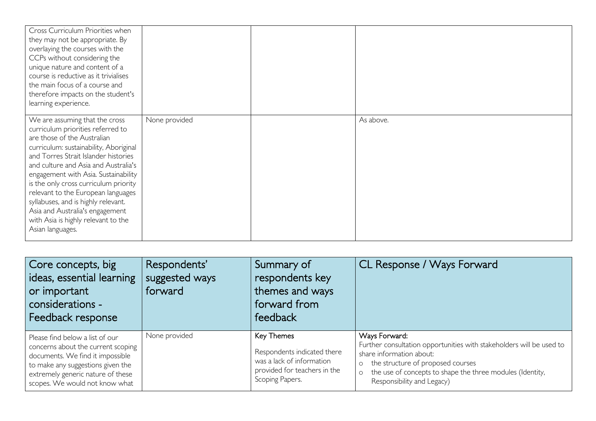| Cross Curriculum Priorities when<br>they may not be appropriate. By<br>overlaying the courses with the<br>CCPs without considering the<br>unique nature and content of a<br>course is reductive as it trivialises<br>the main focus of a course and<br>therefore impacts on the student's<br>learning experience.                                                                                                                                                                        |               |           |
|------------------------------------------------------------------------------------------------------------------------------------------------------------------------------------------------------------------------------------------------------------------------------------------------------------------------------------------------------------------------------------------------------------------------------------------------------------------------------------------|---------------|-----------|
| We are assuming that the cross<br>curriculum priorities referred to<br>are those of the Australian<br>curriculum: sustainability, Aboriginal<br>and Torres Strait Islander histories<br>and culture and Asia and Australia's<br>engagement with Asia. Sustainability<br>is the only cross curriculum priority<br>relevant to the European languages<br>syllabuses, and is highly relevant.<br>Asia and Australia's engagement<br>with Asia is highly relevant to the<br>Asian languages. | None provided | As above. |

| Core concepts, big<br>ideas, essential learning<br>or important<br>considerations -<br>Feedback response                                                                                                              | Respondents'<br>suggested ways<br>forward | Summary of<br>respondents key<br>themes and ways<br>forward from<br>feedback                                                     | CL Response / Ways Forward                                                                                                                                                                                                                            |
|-----------------------------------------------------------------------------------------------------------------------------------------------------------------------------------------------------------------------|-------------------------------------------|----------------------------------------------------------------------------------------------------------------------------------|-------------------------------------------------------------------------------------------------------------------------------------------------------------------------------------------------------------------------------------------------------|
| Please find below a list of our<br>concerns about the current scoping<br>documents. We find it impossible<br>to make any suggestions given the<br>extremely generic nature of these<br>scopes. We would not know what | None provided                             | <b>Key Themes</b><br>Respondents indicated there<br>was a lack of information<br>provided for teachers in the<br>Scoping Papers. | Ways Forward:<br>Further consultation opportunities with stakeholders will be used to<br>share information about:<br>o the structure of proposed courses<br>o the use of concepts to shape the three modules (Identity,<br>Responsibility and Legacy) |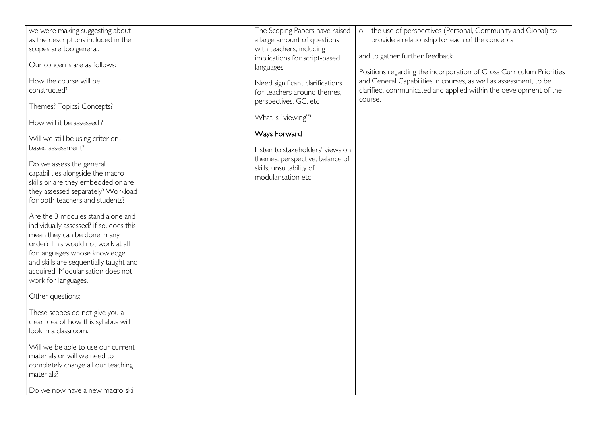| we were making suggesting about<br>as the descriptions included in the<br>scopes are too general.<br>Our concerns are as follows:<br>How the course will be<br>constructed?<br>Themes? Topics? Concepts?<br>How will it be assessed?<br>Will we still be using criterion-<br>based assessment?<br>Do we assess the general<br>capabilities alongside the macro-<br>skills or are they embedded or are<br>they assessed separately? Workload<br>for both teachers and students?<br>Are the 3 modules stand alone and<br>individually assessed? if so, does this<br>mean they can be done in any<br>order? This would not work at all<br>for languages whose knowledge<br>and skills are sequentially taught and<br>acquired. Modularisation does not<br>work for languages.<br>Other questions:<br>These scopes do not give you a<br>clear idea of how this syllabus will<br>look in a classroom.<br>Will we be able to use our current<br>materials or will we need to<br>completely change all our teaching<br>materials?<br>Do we now have a new macro-skill | The Scoping Papers have raised<br>a large amount of questions<br>with teachers, including<br>implications for script-based<br>languages<br>Need significant clarifications<br>for teachers around themes.<br>perspectives, GC, etc<br>What is "viewing"?<br>Ways Forward<br>Listen to stakeholders' views on<br>themes, perspective, balance of<br>skills, unsuitability of<br>modularisation etc | the use of perspectives (Personal, Community and Global) to<br>$\circ$<br>provide a relationship for each of the concepts<br>and to gather further feedback.<br>Positions regarding the incorporation of Cross Curriculum Priorities<br>and General Capabilities in courses, as well as assessment, to be<br>clarified, communicated and applied within the development of the<br>course. |
|----------------------------------------------------------------------------------------------------------------------------------------------------------------------------------------------------------------------------------------------------------------------------------------------------------------------------------------------------------------------------------------------------------------------------------------------------------------------------------------------------------------------------------------------------------------------------------------------------------------------------------------------------------------------------------------------------------------------------------------------------------------------------------------------------------------------------------------------------------------------------------------------------------------------------------------------------------------------------------------------------------------------------------------------------------------|---------------------------------------------------------------------------------------------------------------------------------------------------------------------------------------------------------------------------------------------------------------------------------------------------------------------------------------------------------------------------------------------------|-------------------------------------------------------------------------------------------------------------------------------------------------------------------------------------------------------------------------------------------------------------------------------------------------------------------------------------------------------------------------------------------|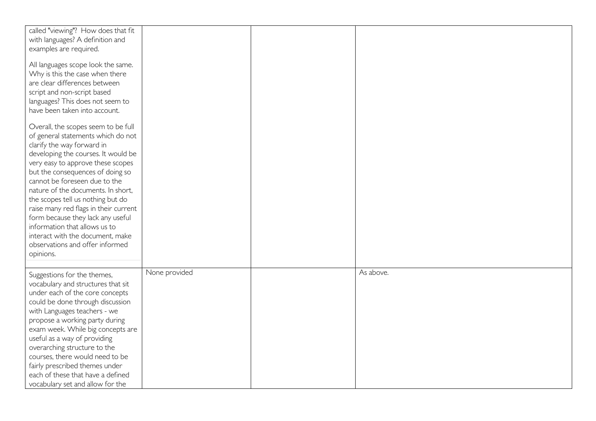| called "viewing"? How does that fit   |               |           |
|---------------------------------------|---------------|-----------|
| with languages? A definition and      |               |           |
| examples are required.                |               |           |
|                                       |               |           |
| All languages scope look the same.    |               |           |
| Why is this the case when there       |               |           |
| are clear differences between         |               |           |
| script and non-script based           |               |           |
|                                       |               |           |
| languages? This does not seem to      |               |           |
| have been taken into account.         |               |           |
|                                       |               |           |
| Overall, the scopes seem to be full   |               |           |
| of general statements which do not    |               |           |
| clarify the way forward in            |               |           |
| developing the courses. It would be   |               |           |
| very easy to approve these scopes     |               |           |
| but the consequences of doing so      |               |           |
| cannot be foreseen due to the         |               |           |
| nature of the documents. In short,    |               |           |
| the scopes tell us nothing but do     |               |           |
| raise many red flags in their current |               |           |
| form because they lack any useful     |               |           |
| information that allows us to         |               |           |
| interact with the document, make      |               |           |
| observations and offer informed       |               |           |
|                                       |               |           |
| opinions.                             |               |           |
|                                       |               |           |
| Suggestions for the themes,           | None provided | As above. |
| vocabulary and structures that sit    |               |           |
| under each of the core concepts       |               |           |
| could be done through discussion      |               |           |
| with Languages teachers - we          |               |           |
| propose a working party during        |               |           |
| exam week. While big concepts are     |               |           |
| useful as a way of providing          |               |           |
| overarching structure to the          |               |           |
|                                       |               |           |
| courses, there would need to be       |               |           |
| fairly prescribed themes under        |               |           |
| each of these that have a defined     |               |           |
| vocabulary set and allow for the      |               |           |